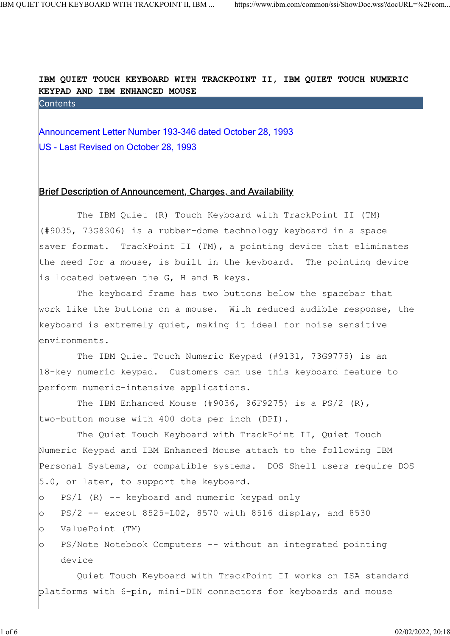IBM QUIET TOUCH KEYBOARD WITH TRACKPOINT II, IBM QUIET TOUCH NUMERIC KEYPAD AND IBM ENHANCED MOUSE TOUCH KEYBOARD WITH TRACKPOINT II, IBM ... https://www.ibm.com/common/ssi/ShowDoc.wss?docURL=%2Fcom<br> **ANNOULET TOUCH KEYBOARD WITH TRACKPOINT II, IBM QUIET TOUCH NUMBERIC<br>
KEYPAD AND IBM ENHANCED MOUSE**<br>
Contents<br>
Announce

US - Last Revised on October 28, 1993

## Brief Description of Announcement, Charges, and Availability

 The IBM Quiet (R) Touch Keyboard with TrackPoint II (TM) (#9035, 73G8306) is a rubber-dome technology keyboard in a space saver format. TrackPoint II (TM), a pointing device that eliminates the need for a mouse, is built in the keyboard. The pointing device is located between the G, H and B keys.

 The keyboard frame has two buttons below the spacebar that work like the buttons on a mouse. With reduced audible response, the keyboard is extremely quiet, making it ideal for noise sensitive environments.

 The IBM Quiet Touch Numeric Keypad (#9131, 73G9775) is an 18-key numeric keypad. Customers can use this keyboard feature to perform numeric-intensive applications.

 The IBM Enhanced Mouse (#9036, 96F9275) is a PS/2 (R), two-button mouse with 400 dots per inch (DPI).

 The Quiet Touch Keyboard with TrackPoint II, Quiet Touch Numeric Keypad and IBM Enhanced Mouse attach to the following IBM Personal Systems, or compatible systems. DOS Shell users require DOS 5.0, or later, to support the keyboard.

- o PS/1 (R) -- keyboard and numeric keypad only
- o PS/2 -- except 8525-L02, 8570 with 8516 display, and 8530 o ValuePoint (TM)
- o PS/Note Notebook Computers -- without an integrated pointing device

 Quiet Touch Keyboard with TrackPoint II works on ISA standard platforms with 6-pin, mini-DIN connectors for keyboards and mouse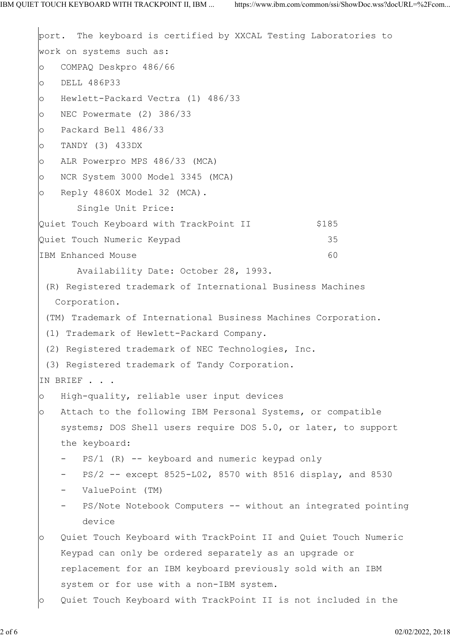```
port. The keyboard is certified by XXCAL Testing Laboratories to
work on systems such as:
o COMPAQ Deskpro 486/66
o DELL 486P33
o Hewlett-Packard Vectra (1) 486/33
o NEC Powermate (2) 386/33
o Packard Bell 486/33
o TANDY (3) 433DX
o ALR Powerpro MPS 486/33 (MCA)
o NCR System 3000 Model 3345 (MCA)
o Reply 4860X Model 32 (MCA).
       Single Unit Price:
Quiet Touch Keyboard with TrackPoint II $185
Quiet Touch Numeric Keypad 35
IBM Enhanced Mouse 60
       Availability Date: October 28, 1993.
  (R) Registered trademark of International Business Machines
   Corporation.
  (TM) Trademark of International Business Machines Corporation.
  (1) Trademark of Hewlett-Packard Company.
  (2) Registered trademark of NEC Technologies, Inc.
  (3) Registered trademark of Tandy Corporation.
IN BRIEF . . .
o High-quality, reliable user input devices
o Attach to the following IBM Personal Systems, or compatible
    systems; DOS Shell users require DOS 5.0, or later, to support
    the keyboard:
      PS/1 (R) - keyboard and numeric keypad only
       PS/2 -- except 8525-L02, 8570 with 8516 display, and 8530
    - ValuePoint (TM)
       PS/Note Notebook Computers -- without an integrated pointing
        device
o Quiet Touch Keyboard with TrackPoint II and Quiet Touch Numeric
    Keypad can only be ordered separately as an upgrade or
    replacement for an IBM keyboard previously sold with an IBM
    system or for use with a non-IBM system.
o Quiet Touch Keyboard with TrackPoint II is not included in the
```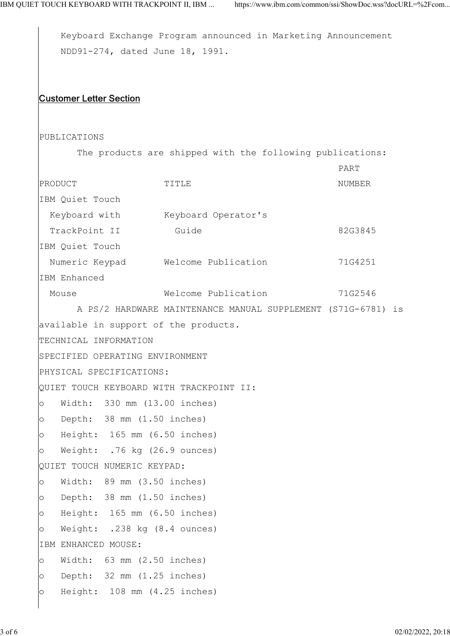```
 Keyboard Exchange Program announced in Marketing Announcement
    NDD91-274, dated June 18, 1991.
Customer Letter Section
PUBLICATIONS
      The products are shipped with the following publications:
 PART
PRODUCT TITLE TITLE NUMBER
IBM Quiet Touch
 Keyboard with Keyboard Operator's
 TrackPoint II Guide 69 Guide 82G3845
IBM Quiet Touch
  Numeric Keypad Welcome Publication 71G4251
IBM Enhanced
 Mouse Welcome Publication 71G2546
      A PS/2 HARDWARE MAINTENANCE MANUAL SUPPLEMENT (S71G-6781) is
available in support of the products.
TECHNICAL INFORMATION
SPECIFIED OPERATING ENVIRONMENT
PHYSICAL SPECIFICATIONS:
QUIET TOUCH KEYBOARD WITH TRACKPOINT II:
o Width: 330 mm (13.00 inches)
o Depth: 38 mm (1.50 inches)
o Height: 165 mm (6.50 inches)
o Weight: .76 kg (26.9 ounces)
QUIET TOUCH NUMERIC KEYPAD:
o Width: 89 mm (3.50 inches)
o Depth: 38 mm (1.50 inches)
o Height: 165 mm (6.50 inches)
o Weight: .238 kg (8.4 ounces)
IBM ENHANCED MOUSE:
o Width: 63 mm (2.50 inches)
o Depth: 32 mm (1.25 inches)
o Height: 108 mm (4.25 inches)
```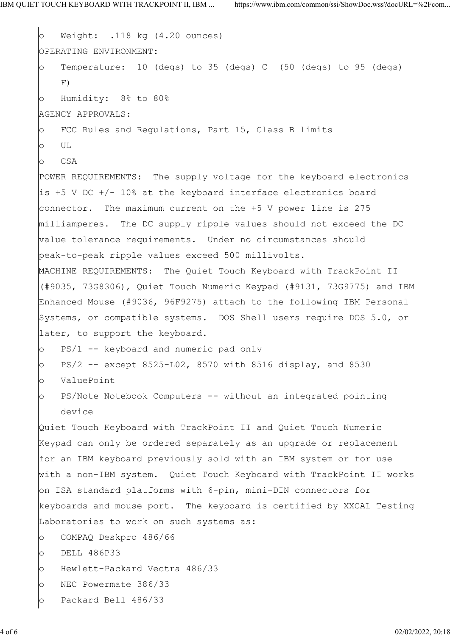```
o Weight: .118 kg (4.20 ounces)
OPERATING ENVIRONMENT:
o Temperature: 10 (degs) to 35 (degs) C (50 (degs) to 95 (degs)
 F)
o Humidity: 8% to 80%
AGENCY APPROVALS:
o FCC Rules and Regulations, Part 15, Class B limits
o UL
o CSA
POWER REQUIREMENTS: The supply voltage for the keyboard electronics
is +5 V DC +/- 10% at the keyboard interface electronics board
connector. The maximum current on the +5 V power line is 275
milliamperes. The DC supply ripple values should not exceed the DC
value tolerance requirements. Under no circumstances should
peak-to-peak ripple values exceed 500 millivolts.
MACHINE REQUIREMENTS: The Quiet Touch Keyboard with TrackPoint II
(#9035, 73G8306), Quiet Touch Numeric Keypad (#9131, 73G9775) and IBM
Enhanced Mouse (#9036, 96F9275) attach to the following IBM Personal
Systems, or compatible systems. DOS Shell users require DOS 5.0, or
later, to support the keyboard.
o PS/1 -- keyboard and numeric pad only
o PS/2 -- except 8525-L02, 8570 with 8516 display, and 8530
o ValuePoint
o PS/Note Notebook Computers -- without an integrated pointing
    device
Quiet Touch Keyboard with TrackPoint II and Quiet Touch Numeric
Keypad can only be ordered separately as an upgrade or replacement
for an IBM keyboard previously sold with an IBM system or for use
with a non-IBM system. Quiet Touch Keyboard with TrackPoint II works
on ISA standard platforms with 6-pin, mini-DIN connectors for
keyboards and mouse port. The keyboard is certified by XXCAL Testing
Laboratories to work on such systems as:
o COMPAQ Deskpro 486/66
o DELL 486P33
o Hewlett-Packard Vectra 486/33
o NEC Powermate 386/33
o Packard Bell 486/33
```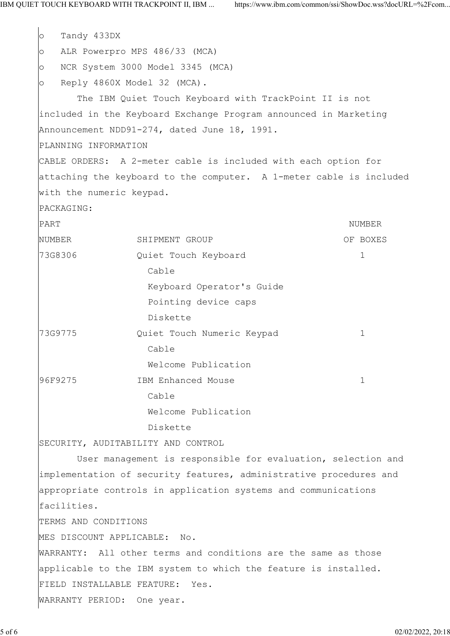o Tandy 433DX o ALR Powerpro MPS 486/33 (MCA) o NCR System 3000 Model 3345 (MCA) o Reply 4860X Model 32 (MCA). The IBM Quiet Touch Keyboard with TrackPoint II is not included in the Keyboard Exchange Program announced in Marketing Announcement NDD91-274, dated June 18, 1991. PLANNING INFORMATION CABLE ORDERS: A 2-meter cable is included with each option for attaching the keyboard to the computer. A 1-meter cable is included with the numeric keypad. PACKAGING: PART NUMBER NUMBER SHIPMENT GROUP OF BOXES 73G8306 Quiet Touch Keyboard 1 cable cable Keyboard Operator's Guide Pointing device caps Diskette 73G9775 Quiet Touch Numeric Keypad 1 cable cable Welcome Publication 96F9275 IBM Enhanced Mouse 1 cable cable Welcome Publication Diskette SECURITY, AUDITABILITY AND CONTROL User management is responsible for evaluation, selection and implementation of security features, administrative procedures and appropriate controls in application systems and communications facilities. TERMS AND CONDITIONS MES DISCOUNT APPLICABLE: No. WARRANTY: All other terms and conditions are the same as those applicable to the IBM system to which the feature is installed. FIELD INSTALLABLE FEATURE: Yes. WARRANTY PERIOD: One year.